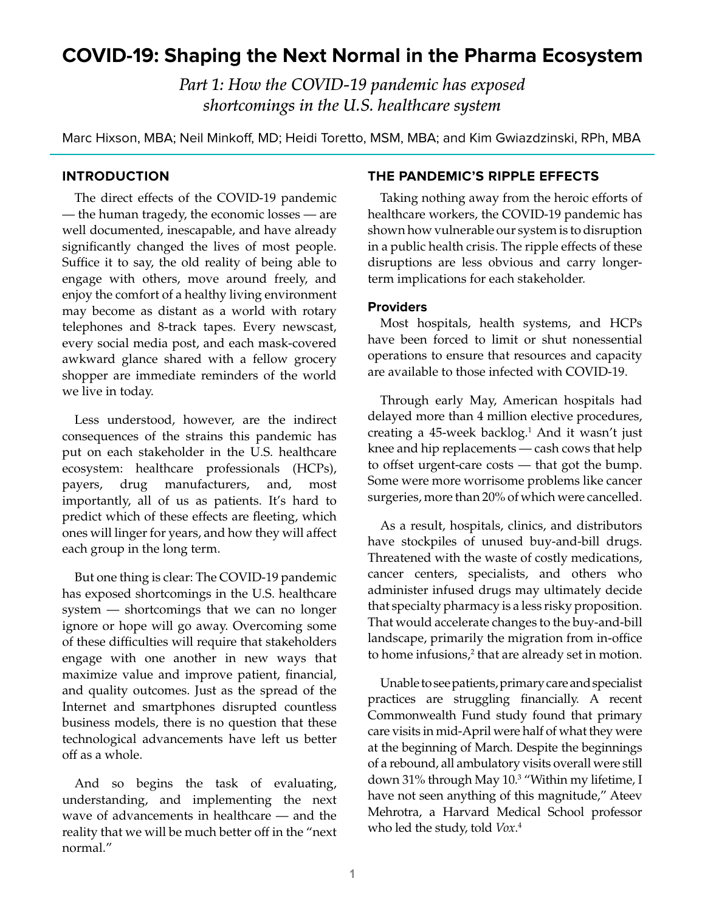# **COVID-19: Shaping the Next Normal in the Pharma Ecosystem**

*Part 1: How the COVID-19 pandemic has exposed shortcomings in the U.S. healthcare system*

Marc Hixson, MBA; Neil Minkoff, MD; Heidi Toretto, MSM, MBA; and Kim Gwiazdzinski, RPh, MBA

### **INTRODUCTION**

The direct effects of the COVID-19 pandemic — the human tragedy, the economic losses — are well documented, inescapable, and have already significantly changed the lives of most people. Suffice it to say, the old reality of being able to engage with others, move around freely, and enjoy the comfort of a healthy living environment may become as distant as a world with rotary telephones and 8-track tapes. Every newscast, every social media post, and each mask-covered awkward glance shared with a fellow grocery shopper are immediate reminders of the world we live in today.

Less understood, however, are the indirect consequences of the strains this pandemic has put on each stakeholder in the U.S. healthcare ecosystem: healthcare professionals (HCPs), payers, drug manufacturers, and, most importantly, all of us as patients. It's hard to predict which of these effects are fleeting, which ones will linger for years, and how they will affect each group in the long term.

But one thing is clear: The COVID-19 pandemic has exposed shortcomings in the U.S. healthcare system — shortcomings that we can no longer ignore or hope will go away. Overcoming some of these difficulties will require that stakeholders engage with one another in new ways that maximize value and improve patient, financial, and quality outcomes. Just as the spread of the Internet and smartphones disrupted countless business models, there is no question that these technological advancements have left us better off as a whole.

And so begins the task of evaluating, understanding, and implementing the next wave of advancements in healthcare — and the reality that we will be much better off in the "next normal."

#### **THE PANDEMIC'S RIPPLE EFFECTS**

Taking nothing away from the heroic efforts of healthcare workers, the COVID-19 pandemic has shown how vulnerable our system is to disruption in a public health crisis. The ripple effects of these disruptions are less obvious and carry longerterm implications for each stakeholder.

# **Providers**

Most hospitals, health systems, and HCPs have been forced to limit or shut nonessential operations to ensure that resources and capacity are available to those infected with COVID-19.

Through early May, American hospitals had delayed more than 4 million elective procedures, creating a 45-week backlog.<sup>1</sup> And it wasn't just knee and hip replacements — cash cows that help to offset urgent-care costs — that got the bump. Some were more worrisome problems like cancer surgeries, more than 20% of which were cancelled.

As a result, hospitals, clinics, and distributors have stockpiles of unused buy-and-bill drugs. Threatened with the waste of costly medications, cancer centers, specialists, and others who administer infused drugs may ultimately decide that specialty pharmacy is a less risky proposition. That would accelerate changes to the buy-and-bill landscape, primarily the migration from in-office to home infusions,<sup>2</sup> that are already set in motion.

Unable to see patients, primary care and specialist practices are struggling financially. A recent Commonwealth Fund study found that primary care visits in mid-April were half of what they were at the beginning of March. Despite the beginnings of a rebound, all ambulatory visits overall were still down 31% through May 10.<sup>3</sup> "Within my lifetime, I have not seen anything of this magnitude," Ateev Mehrotra, a Harvard Medical School professor who led the study, told *Vox*. 4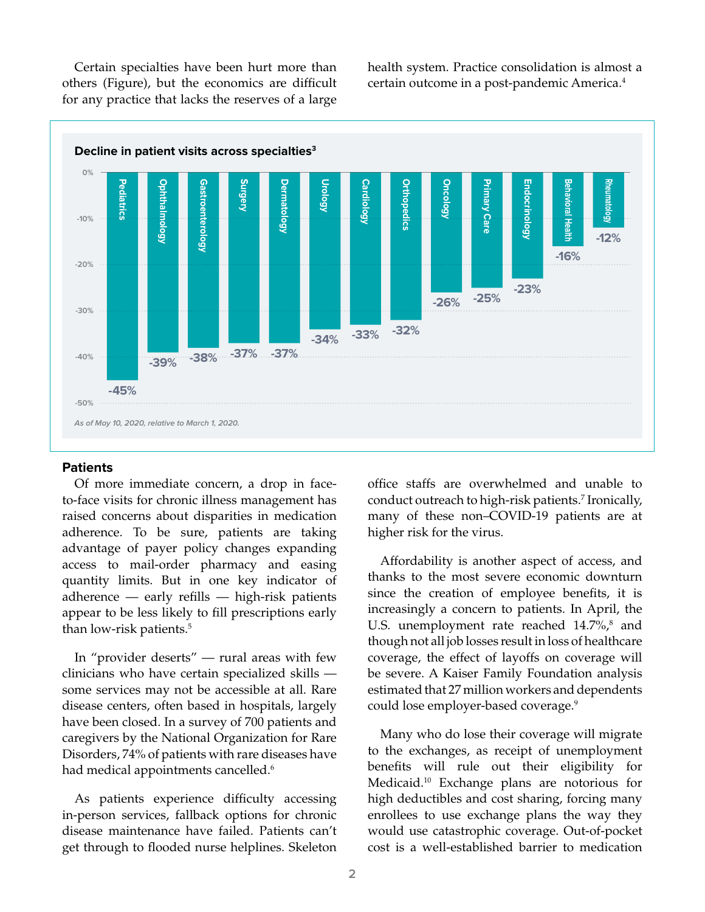Certain specialties have been hurt more than others (Figure), but the economics are difficult for any practice that lacks the reserves of a large

health system. Practice consolidation is almost a certain outcome in a post-pandemic America.4



#### **Patients**

Of more immediate concern, a drop in faceto-face visits for chronic illness management has raised concerns about disparities in medication adherence. To be sure, patients are taking advantage of payer policy changes expanding access to mail-order pharmacy and easing quantity limits. But in one key indicator of adherence — early refills — high-risk patients appear to be less likely to fill prescriptions early than low-risk patients.<sup>5</sup>

In "provider deserts" — rural areas with few clinicians who have certain specialized skills some services may not be accessible at all. Rare disease centers, often based in hospitals, largely have been closed. In a survey of 700 patients and caregivers by the National Organization for Rare Disorders, 74% of patients with rare diseases have had medical appointments cancelled.<sup>6</sup>

As patients experience difficulty accessing in-person services, fallback options for chronic disease maintenance have failed. Patients can't get through to flooded nurse helplines. Skeleton office staffs are overwhelmed and unable to conduct outreach to high-risk patients.7 Ironically, many of these non–COVID-19 patients are at higher risk for the virus.

Affordability is another aspect of access, and thanks to the most severe economic downturn since the creation of employee benefits, it is increasingly a concern to patients. In April, the U.S. unemployment rate reached 14.7%,<sup>8</sup> and though not all job losses result in loss of healthcare coverage, the effect of layoffs on coverage will be severe. A Kaiser Family Foundation analysis estimated that 27 million workers and dependents could lose employer-based coverage.<sup>9</sup>

Many who do lose their coverage will migrate to the exchanges, as receipt of unemployment benefits will rule out their eligibility for Medicaid.10 Exchange plans are notorious for high deductibles and cost sharing, forcing many enrollees to use exchange plans the way they would use catastrophic coverage. Out-of-pocket cost is a well-established barrier to medication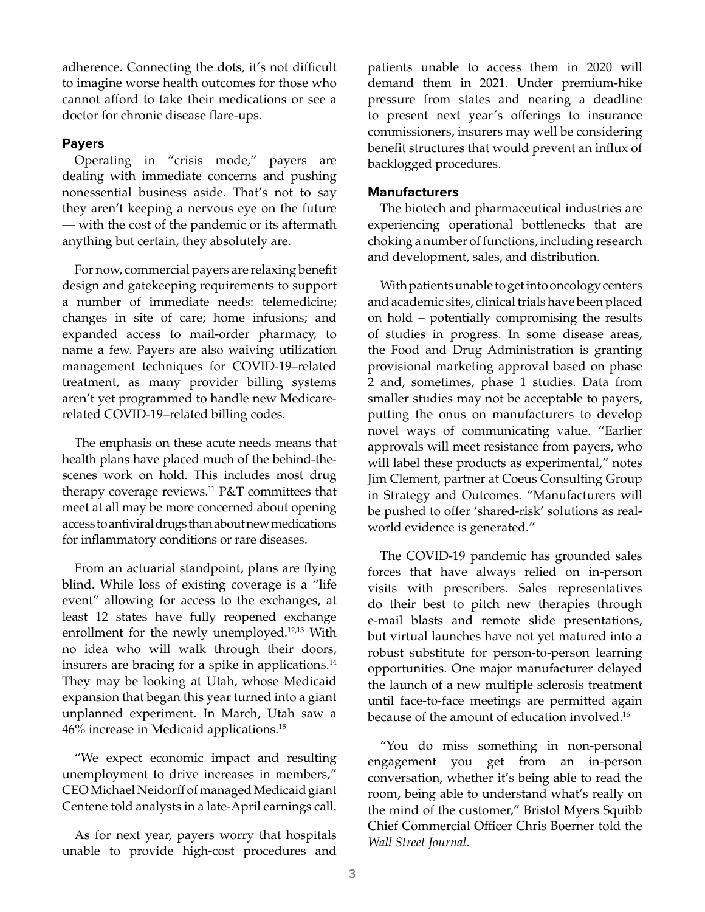adherence. Connecting the dots, it's not difficult to imagine worse health outcomes for those who cannot afford to take their medications or see a doctor for chronic disease flare-ups.

## **Payers**

Operating in "crisis mode," payers are dealing with immediate concerns and pushing nonessential business aside. That's not to say they aren't keeping a nervous eye on the future — with the cost of the pandemic or its aftermath anything but certain, they absolutely are.

For now, commercial payers are relaxing benefit design and gatekeeping requirements to support a number of immediate needs: telemedicine; changes in site of care; home infusions; and expanded access to mail-order pharmacy, to name a few. Payers are also waiving utilization management techniques for COVID-19–related treatment, as many provider billing systems aren't yet programmed to handle new Medicarerelated COVID-19–related billing codes.

The emphasis on these acute needs means that health plans have placed much of the behind-thescenes work on hold. This includes most drug therapy coverage reviews.<sup>11</sup> P&T committees that meet at all may be more concerned about opening access to antiviral drugs than about new medications for inflammatory conditions or rare diseases.

From an actuarial standpoint, plans are flying blind. While loss of existing coverage is a "life event" allowing for access to the exchanges, at least 12 states have fully reopened exchange enrollment for the newly unemployed.12,13 With no idea who will walk through their doors, insurers are bracing for a spike in applications.<sup>14</sup> They may be looking at Utah, whose Medicaid expansion that began this year turned into a giant unplanned experiment. In March, Utah saw a 46% increase in Medicaid applications.15

"We expect economic impact and resulting unemployment to drive increases in members," CEO Michael Neidorff of managed Medicaid giant Centene told analysts in a late-April earnings call.

As for next year, payers worry that hospitals unable to provide high-cost procedures and patients unable to access them in 2020 will demand them in 2021. Under premium-hike pressure from states and nearing a deadline to present next year's offerings to insurance commissioners, insurers may well be considering benefit structures that would prevent an influx of backlogged procedures.

## **Manufacturers**

The biotech and pharmaceutical industries are experiencing operational bottlenecks that are choking a number of functions, including research and development, sales, and distribution.

With patients unable to get into oncology centers and academic sites, clinical trials have been placed on hold – potentially compromising the results of studies in progress. In some disease areas, the Food and Drug Administration is granting provisional marketing approval based on phase 2 and, sometimes, phase 1 studies. Data from smaller studies may not be acceptable to payers, putting the onus on manufacturers to develop novel ways of communicating value. "Earlier approvals will meet resistance from payers, who will label these products as experimental," notes Jim Clement, partner at Coeus Consulting Group in Strategy and Outcomes. "Manufacturers will be pushed to offer 'shared-risk' solutions as realworld evidence is generated."

The COVID-19 pandemic has grounded sales forces that have always relied on in-person visits with prescribers. Sales representatives do their best to pitch new therapies through e-mail blasts and remote slide presentations, but virtual launches have not yet matured into a robust substitute for person-to-person learning opportunities. One major manufacturer delayed the launch of a new multiple sclerosis treatment until face-to-face meetings are permitted again because of the amount of education involved.<sup>16</sup>

"You do miss something in non-personal engagement you get from an in-person conversation, whether it's being able to read the room, being able to understand what's really on the mind of the customer," Bristol Myers Squibb Chief Commercial Officer Chris Boerner told the *Wall Street Journal*.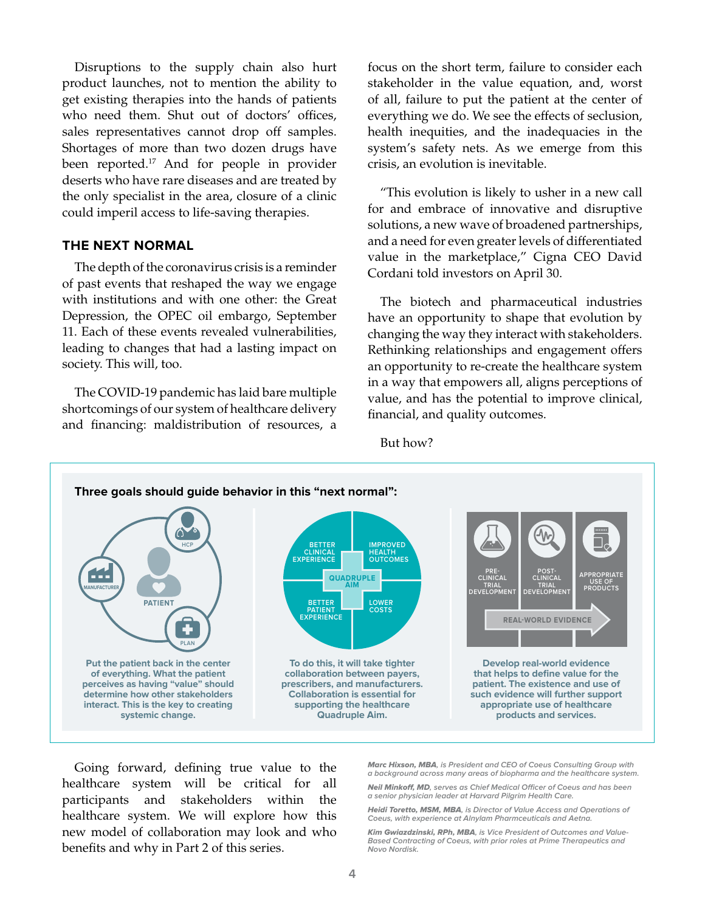Disruptions to the supply chain also hurt product launches, not to mention the ability to get existing therapies into the hands of patients who need them. Shut out of doctors' offices, sales representatives cannot drop off samples. Shortages of more than two dozen drugs have been reported.<sup>17</sup> And for people in provider deserts who have rare diseases and are treated by the only specialist in the area, closure of a clinic could imperil access to life-saving therapies.

## **THE NEXT NORMAL**

The depth of the coronavirus crisis is a reminder of past events that reshaped the way we engage with institutions and with one other: the Great Depression, the OPEC oil embargo, September 11. Each of these events revealed vulnerabilities, leading to changes that had a lasting impact on society. This will, too.

The COVID-19 pandemic has laid bare multiple shortcomings of our system of healthcare delivery and financing: maldistribution of resources, a focus on the short term, failure to consider each stakeholder in the value equation, and, worst of all, failure to put the patient at the center of everything we do. We see the effects of seclusion, health inequities, and the inadequacies in the system's safety nets. As we emerge from this crisis, an evolution is inevitable.

"This evolution is likely to usher in a new call for and embrace of innovative and disruptive solutions, a new wave of broadened partnerships, and a need for even greater levels of differentiated value in the marketplace," Cigna CEO David Cordani told investors on April 30.

The biotech and pharmaceutical industries have an opportunity to shape that evolution by changing the way they interact with stakeholders. Rethinking relationships and engagement offers an opportunity to re-create the healthcare system in a way that empowers all, aligns perceptions of value, and has the potential to improve clinical, financial, and quality outcomes.

But how?



Going forward, defining true value to the healthcare system will be critical for all participants and stakeholders within the healthcare system. We will explore how this new model of collaboration may look and who benefits and why in Part 2 of this series.

Marc Hixson, MBA**, is President and CEO of Coeus Consulting Group with a background across many areas of biopharma and the healthcare system.**

Neil Minkoff, MD**, serves as Chief Medical Officer of Coeus and has been a senior physician leader at Harvard Pilgrim Health Care.**

Heidi Toretto, MSM, MBA**, is Director of Value Access and Operations of Coeus, with experience at Alnylam Pharmceuticals and Aetna.**

Kim Gwiazdzinski, RPh, MBA**, is Vice President of Outcomes and Value-Based Contracting of Coeus, with prior roles at Prime Therapeutics and Novo Nordisk.**